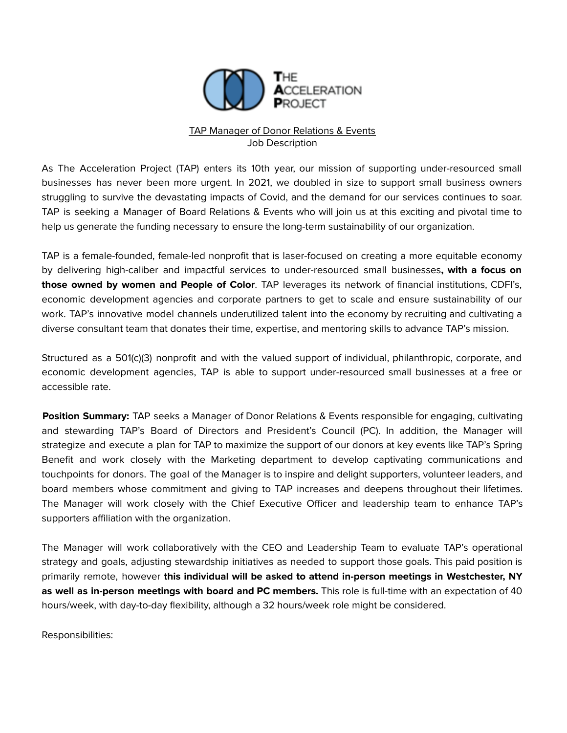

## TAP Manager of Donor Relations & Events Job Description

As The Acceleration Project (TAP) enters its 10th year, our mission of supporting under-resourced small businesses has never been more urgent. In 2021, we doubled in size to support small business owners struggling to survive the devastating impacts of Covid, and the demand for our services continues to soar. TAP is seeking a Manager of Board Relations & Events who will join us at this exciting and pivotal time to help us generate the funding necessary to ensure the long-term sustainability of our organization.

TAP is a female-founded, female-led nonprofit that is laser-focused on creating a more equitable economy by delivering high-caliber and impactful services to under-resourced small businesses**, with a focus on those owned by women and People of Color**. TAP leverages its network of financial institutions, CDFI's, economic development agencies and corporate partners to get to scale and ensure sustainability of our work. TAP's innovative model channels underutilized talent into the economy by recruiting and cultivating a diverse consultant team that donates their time, expertise, and mentoring skills to advance TAP's mission.

Structured as a 501(c)(3) nonprofit and with the valued support of individual, philanthropic, corporate, and economic development agencies, TAP is able to support under-resourced small businesses at a free or accessible rate.

**Position Summary:** TAP seeks a Manager of Donor Relations & Events responsible for engaging, cultivating and stewarding TAP's Board of Directors and President's Council (PC). In addition, the Manager will strategize and execute a plan for TAP to maximize the support of our donors at key events like TAP's Spring Benefit and work closely with the Marketing department to develop captivating communications and touchpoints for donors. The goal of the Manager is to inspire and delight supporters, volunteer leaders, and board members whose commitment and giving to TAP increases and deepens throughout their lifetimes. The Manager will work closely with the Chief Executive Officer and leadership team to enhance TAP's supporters affiliation with the organization.

The Manager will work collaboratively with the CEO and Leadership Team to evaluate TAP's operational strategy and goals, adjusting stewardship initiatives as needed to support those goals. This paid position is primarily remote, however **this individual will be asked to attend in-person meetings in Westchester, NY as well as in-person meetings with board and PC members.** This role is full-time with an expectation of 40 hours/week, with day-to-day flexibility, although a 32 hours/week role might be considered.

Responsibilities: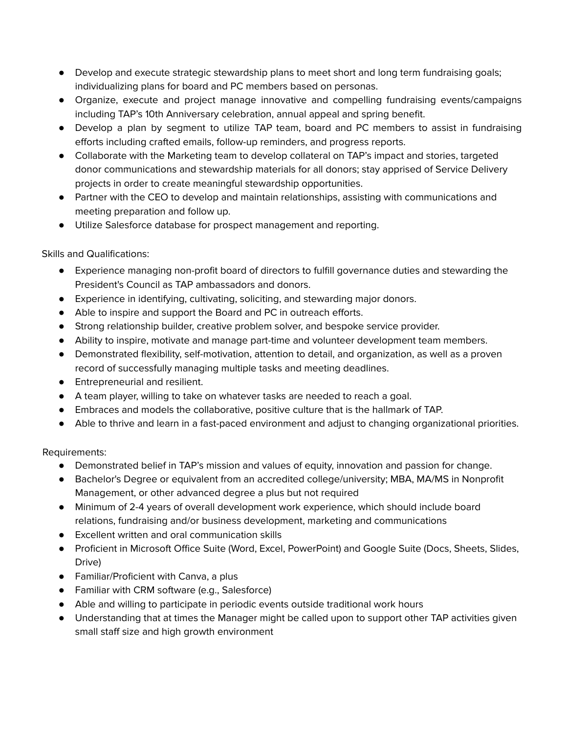- Develop and execute strategic stewardship plans to meet short and long term fundraising goals; individualizing plans for board and PC members based on personas.
- Organize, execute and project manage innovative and compelling fundraising events/campaigns including TAP's 10th Anniversary celebration, annual appeal and spring benefit.
- Develop a plan by segment to utilize TAP team, board and PC members to assist in fundraising efforts including crafted emails, follow-up reminders, and progress reports.
- Collaborate with the Marketing team to develop collateral on TAP's impact and stories, targeted donor communications and stewardship materials for all donors; stay apprised of Service Delivery projects in order to create meaningful stewardship opportunities.
- Partner with the CEO to develop and maintain relationships, assisting with communications and meeting preparation and follow up.
- Utilize Salesforce database for prospect management and reporting.

Skills and Qualifications:

- Experience managing non-profit board of directors to fulfill governance duties and stewarding the President's Council as TAP ambassadors and donors.
- Experience in identifying, cultivating, soliciting, and stewarding major donors.
- Able to inspire and support the Board and PC in outreach efforts.
- Strong relationship builder, creative problem solver, and bespoke service provider.
- Ability to inspire, motivate and manage part-time and volunteer development team members.
- Demonstrated flexibility, self-motivation, attention to detail, and organization, as well as a proven record of successfully managing multiple tasks and meeting deadlines.
- Entrepreneurial and resilient.
- A team player, willing to take on whatever tasks are needed to reach a goal.
- Embraces and models the collaborative, positive culture that is the hallmark of TAP.
- Able to thrive and learn in a fast-paced environment and adjust to changing organizational priorities.

Requirements:

- Demonstrated belief in TAP's mission and values of equity, innovation and passion for change.
- Bachelor's Degree or equivalent from an accredited college/university; MBA, MA/MS in Nonprofit Management, or other advanced degree a plus but not required
- Minimum of 2-4 years of overall development work experience, which should include board relations, fundraising and/or business development, marketing and communications
- Excellent written and oral communication skills
- Proficient in Microsoft Office Suite (Word, Excel, PowerPoint) and Google Suite (Docs, Sheets, Slides, Drive)
- Familiar/Proficient with Canva, a plus
- Familiar with CRM software (e.g., Salesforce)
- Able and willing to participate in periodic events outside traditional work hours
- Understanding that at times the Manager might be called upon to support other TAP activities given small staff size and high growth environment